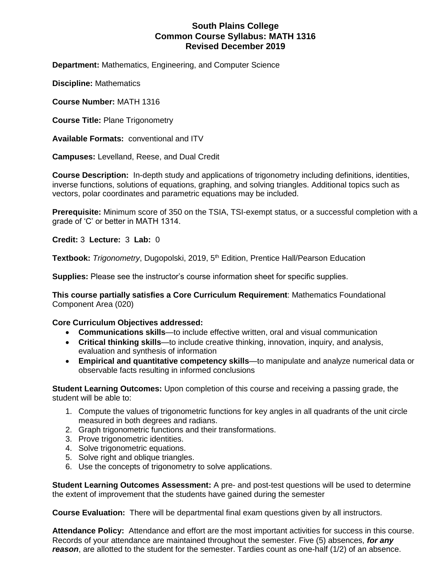## **South Plains College Common Course Syllabus: MATH 1316 Revised December 2019**

**Department:** Mathematics, Engineering, and Computer Science

**Discipline:** Mathematics

**Course Number:** MATH 1316

**Course Title:** Plane Trigonometry

**Available Formats:** conventional and ITV

**Campuses:** Levelland, Reese, and Dual Credit

**Course Description:** In-depth study and applications of trigonometry including definitions, identities, inverse functions, solutions of equations, graphing, and solving triangles. Additional topics such as vectors, polar coordinates and parametric equations may be included.

**Prerequisite:** Minimum score of 350 on the TSIA, TSI-exempt status, or a successful completion with a grade of 'C' or better in MATH 1314.

**Credit:** 3 **Lecture:** 3 **Lab:** 0

**Textbook:** *Trigonometry*, Dugopolski, 2019, 5th Edition, Prentice Hall/Pearson Education

**Supplies:** Please see the instructor's course information sheet for specific supplies.

**This course partially satisfies a Core Curriculum Requirement**: Mathematics Foundational Component Area (020)

### **Core Curriculum Objectives addressed:**

- **Communications skills**—to include effective written, oral and visual communication
- **Critical thinking skills**—to include creative thinking, innovation, inquiry, and analysis, evaluation and synthesis of information
- **Empirical and quantitative competency skills**—to manipulate and analyze numerical data or observable facts resulting in informed conclusions

**Student Learning Outcomes:** Upon completion of this course and receiving a passing grade, the student will be able to:

- 1. Compute the values of trigonometric functions for key angles in all quadrants of the unit circle measured in both degrees and radians.
- 2. Graph trigonometric functions and their transformations.
- 3. Prove trigonometric identities.
- 4. Solve trigonometric equations.
- 5. Solve right and oblique triangles.
- 6. Use the concepts of trigonometry to solve applications.

**Student Learning Outcomes Assessment:** A pre- and post-test questions will be used to determine the extent of improvement that the students have gained during the semester

**Course Evaluation:** There will be departmental final exam questions given by all instructors.

**Attendance Policy:** Attendance and effort are the most important activities for success in this course. Records of your attendance are maintained throughout the semester. Five (5) absences, *for any reason*, are allotted to the student for the semester. Tardies count as one-half (1/2) of an absence.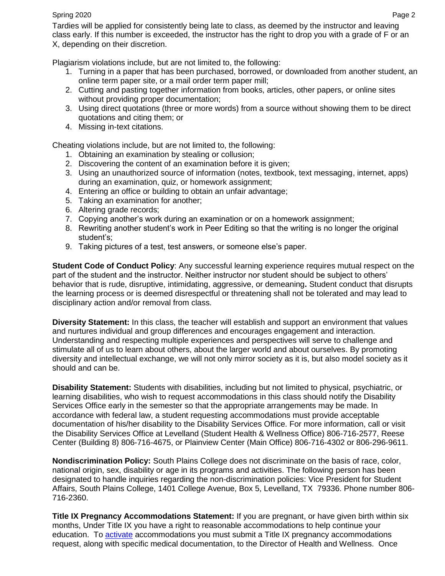#### Spring 2020 Page 2

Tardies will be applied for consistently being late to class, as deemed by the instructor and leaving class early. If this number is exceeded, the instructor has the right to drop you with a grade of F or an X, depending on their discretion.

Plagiarism violations include, but are not limited to, the following:

- 1. Turning in a paper that has been purchased, borrowed, or downloaded from another student, an online term paper site, or a mail order term paper mill;
- 2. Cutting and pasting together information from books, articles, other papers, or online sites without providing proper documentation;
- 3. Using direct quotations (three or more words) from a source without showing them to be direct quotations and citing them; or
- 4. Missing in-text citations.

Cheating violations include, but are not limited to, the following:

- 1. Obtaining an examination by stealing or collusion;
- 2. Discovering the content of an examination before it is given;
- 3. Using an unauthorized source of information (notes, textbook, text messaging, internet, apps) during an examination, quiz, or homework assignment;
- 4. Entering an office or building to obtain an unfair advantage;
- 5. Taking an examination for another;
- 6. Altering grade records;
- 7. Copying another's work during an examination or on a homework assignment;
- 8. Rewriting another student's work in Peer Editing so that the writing is no longer the original student's;
- 9. Taking pictures of a test, test answers, or someone else's paper.

**Student Code of Conduct Policy**: Any successful learning experience requires mutual respect on the part of the student and the instructor. Neither instructor nor student should be subject to others' behavior that is rude, disruptive, intimidating, aggressive, or demeaning**.** Student conduct that disrupts the learning process or is deemed disrespectful or threatening shall not be tolerated and may lead to disciplinary action and/or removal from class.

**Diversity Statement:** In this class, the teacher will establish and support an environment that values and nurtures individual and group differences and encourages engagement and interaction. Understanding and respecting multiple experiences and perspectives will serve to challenge and stimulate all of us to learn about others, about the larger world and about ourselves. By promoting diversity and intellectual exchange, we will not only mirror society as it is, but also model society as it should and can be.

**Disability Statement:** Students with disabilities, including but not limited to physical, psychiatric, or learning disabilities, who wish to request accommodations in this class should notify the Disability Services Office early in the semester so that the appropriate arrangements may be made. In accordance with federal law, a student requesting accommodations must provide acceptable documentation of his/her disability to the Disability Services Office. For more information, call or visit the Disability Services Office at Levelland (Student Health & Wellness Office) 806-716-2577, Reese Center (Building 8) 806-716-4675, or Plainview Center (Main Office) 806-716-4302 or 806-296-9611.

**Nondiscrimination Policy:** South Plains College does not discriminate on the basis of race, color, national origin, sex, disability or age in its programs and activities. The following person has been designated to handle inquiries regarding the non-discrimination policies: Vice President for Student Affairs, South Plains College, 1401 College Avenue, Box 5, Levelland, TX 79336. Phone number 806- 716-2360.

**Title IX Pregnancy Accommodations Statement:** If you are pregnant, or have given birth within six months, Under Title IX you have a right to reasonable accommodations to help continue your education. To [activate](http://www.southplainscollege.edu/employees/manualshandbooks/facultyhandbook/sec4.php) accommodations you must submit a Title IX pregnancy accommodations request, along with specific medical documentation, to the Director of Health and Wellness. Once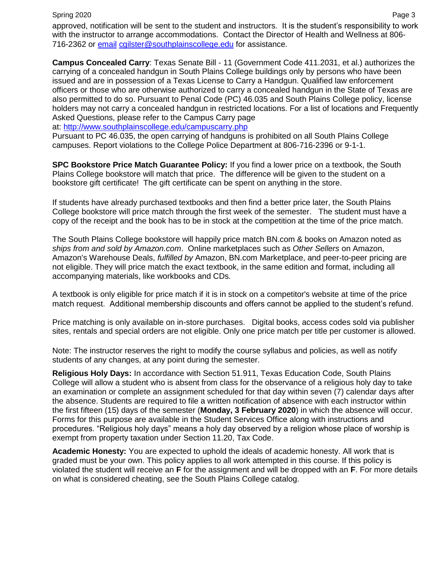approved, notification will be sent to the student and instructors. It is the student's responsibility to work with the instructor to arrange accommodations. Contact the Director of Health and Wellness at 806- 716-2362 or [email](http://www.southplainscollege.edu/employees/manualshandbooks/facultyhandbook/sec4.php) [cgilster@southplainscollege.edu](mailto:cgilster@southplainscollege.edu) for assistance.

**Campus Concealed Carry**: Texas Senate Bill - 11 (Government Code 411.2031, et al.) authorizes the carrying of a concealed handgun in South Plains College buildings only by persons who have been issued and are in possession of a Texas License to Carry a Handgun. Qualified law enforcement officers or those who are otherwise authorized to carry a concealed handgun in the State of Texas are also permitted to do so. Pursuant to Penal Code (PC) 46.035 and South Plains College policy, license holders may not carry a concealed handgun in restricted locations. For a list of locations and Frequently Asked Questions, please refer to the Campus Carry page

at: <http://www.southplainscollege.edu/campuscarry.php>

Pursuant to PC 46.035, the open carrying of handguns is prohibited on all South Plains College campuses. Report violations to the College Police Department at 806-716-2396 or 9-1-1.

**SPC Bookstore Price Match Guarantee Policy:** If you find a lower price on a textbook, the South Plains College bookstore will match that price. The difference will be given to the student on a bookstore gift certificate! The gift certificate can be spent on anything in the store.

If students have already purchased textbooks and then find a better price later, the South Plains College bookstore will price match through the first week of the semester. The student must have a copy of the receipt and the book has to be in stock at the competition at the time of the price match.

The South Plains College bookstore will happily price match BN.com & books on Amazon noted as *ships from and sold by Amazon.com*. Online marketplaces such as *Other Sellers* on Amazon, Amazon's Warehouse Deals, *fulfilled by* Amazon, BN.com Marketplace, and peer-to-peer pricing are not eligible. They will price match the exact textbook, in the same edition and format, including all accompanying materials, like workbooks and CDs.

A textbook is only eligible for price match if it is in stock on a competitor's website at time of the price match request. Additional membership discounts and offers cannot be applied to the student's refund.

Price matching is only available on in-store purchases. Digital books, access codes sold via publisher sites, rentals and special orders are not eligible. Only one price match per title per customer is allowed.

Note: The instructor reserves the right to modify the course syllabus and policies, as well as notify students of any changes, at any point during the semester.

**Religious Holy Days:** In accordance with Section 51.911, Texas Education Code, South Plains College will allow a student who is absent from class for the observance of a religious holy day to take an examination or complete an assignment scheduled for that day within seven (7) calendar days after the absence. Students are required to file a written notification of absence with each instructor within the first fifteen (15) days of the semester (**Monday, 3 February 2020**) in which the absence will occur. Forms for this purpose are available in the Student Services Office along with instructions and procedures. "Religious holy days" means a holy day observed by a religion whose place of worship is exempt from property taxation under Section 11.20, Tax Code.

**Academic Honesty:** You are expected to uphold the ideals of academic honesty. All work that is graded must be your own. This policy applies to all work attempted in this course. If this policy is violated the student will receive an **F** for the assignment and will be dropped with an **F**. For more details on what is considered cheating, see the South Plains College catalog.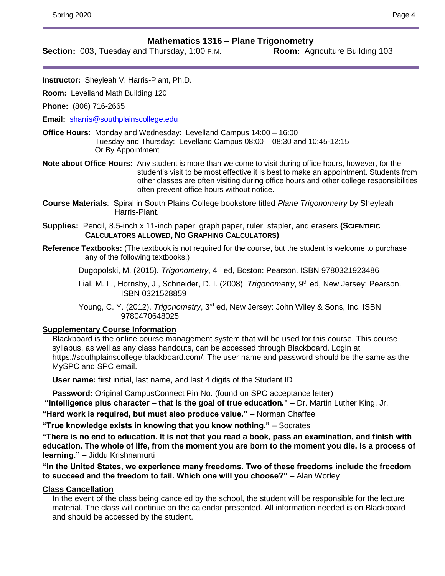## **Mathematics 1316 – Plane Trigonometry**

**Section:** 003, Tuesday and Thursday, 1:00 P.M. **Room:** Agriculture Building 103

**Instructor:** Sheyleah V. Harris-Plant, Ph.D.

**Room:** Levelland Math Building 120

**Phone:** (806) 716-2665

**Email:** [sharris@southplainscollege.edu](mailto:sharris@southplainscollege.edu)

**Office Hours:** Monday and Wednesday: Levelland Campus 14:00 – 16:00 Tuesday and Thursday: Levelland Campus 08:00 – 08:30 and 10:45-12:15 Or By Appointment

**Note about Office Hours:** Any student is more than welcome to visit during office hours, however, for the student's visit to be most effective it is best to make an appointment. Students from other classes are often visiting during office hours and other college responsibilities often prevent office hours without notice.

**Course Materials**: Spiral in South Plains College bookstore titled *Plane Trigonometry* by Sheyleah Harris-Plant.

**Supplies:** Pencil, 8.5-inch x 11-inch paper, graph paper, ruler, stapler, and erasers **(SCIENTIFIC CALCULATORS ALLOWED, NO GRAPHING CALCULATORS)**

**Reference Textbooks:** (The textbook is not required for the course, but the student is welcome to purchase any of the following textbooks.)

Dugopolski, M. (2015). *Trigonometry*, 4th ed, Boston: Pearson. ISBN 9780321923486

Lial. M. L., Hornsby, J., Schneider, D. I. (2008). *Trigonometry*, 9<sup>th</sup> ed, New Jersey: Pearson. ISBN 0321528859

Young, C. Y. (2012). *Trigonometry*, 3<sup>rd</sup> ed, New Jersey: John Wiley & Sons, Inc. ISBN 9780470648025

### **Supplementary Course Information**

Blackboard is the online course management system that will be used for this course. This course syllabus, as well as any class handouts, can be accessed through Blackboard. Login at https://southplainscollege.blackboard.com/. The user name and password should be the same as the MySPC and SPC email.

**User name:** first initial, last name, and last 4 digits of the Student ID

**Password:** Original CampusConnect Pin No. (found on SPC acceptance letter) **"Intelligence plus character – that is the goal of true education."** – Dr. Martin Luther King, Jr.

**"Hard work is required, but must also produce value." –** Norman Chaffee

**"True knowledge exists in knowing that you know nothing."** – Socrates

**"There is no end to education. It is not that you read a book, pass an examination, and finish with education. The whole of life, from the moment you are born to the moment you die, is a process of learning."** – Jiddu Krishnamurti

**"In the United States, we experience many freedoms. Two of these freedoms include the freedom to succeed and the freedom to fail. Which one will you choose?"** – Alan Worley

## **Class Cancellation**

In the event of the class being canceled by the school, the student will be responsible for the lecture material. The class will continue on the calendar presented. All information needed is on Blackboard and should be accessed by the student.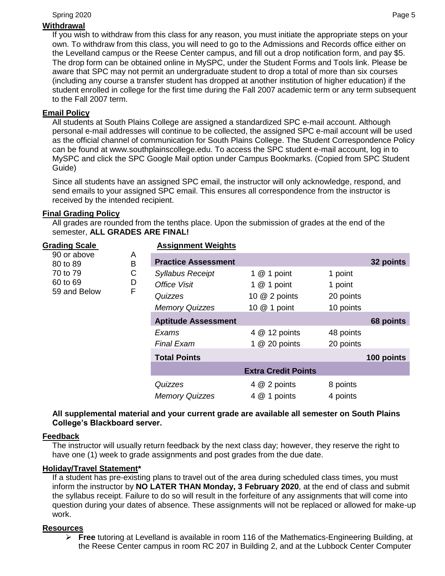### Spring 2020 Page 5

## **Withdrawal**

If you wish to withdraw from this class for any reason, you must initiate the appropriate steps on your own. To withdraw from this class, you will need to go to the Admissions and Records office either on the Levelland campus or the Reese Center campus, and fill out a drop notification form, and pay \$5. The drop form can be obtained online in MySPC, under the Student Forms and Tools link. Please be aware that SPC may not permit an undergraduate student to drop a total of more than six courses (including any course a transfer student has dropped at another institution of higher education) if the student enrolled in college for the first time during the Fall 2007 academic term or any term subsequent to the Fall 2007 term.

## **Email Policy**

All students at South Plains College are assigned a standardized SPC e-mail account. Although personal e-mail addresses will continue to be collected, the assigned SPC e-mail account will be used as the official channel of communication for South Plains College. The Student Correspondence Policy can be found at www.southplainscollege.edu. To access the SPC student e-mail account, log in to MySPC and click the SPC Google Mail option under Campus Bookmarks. (Copied from SPC Student Guide)

Since all students have an assigned SPC email, the instructor will only acknowledge, respond, and send emails to your assigned SPC email. This ensures all correspondence from the instructor is received by the intended recipient.

## **Final Grading Policy**

All grades are rounded from the tenths place. Upon the submission of grades at the end of the semester, **ALL GRADES ARE FINAL!**

| <b>Grading Scale</b><br>90 or above<br>80 to 89<br>70 to 79<br>60 to 69<br>59 and Below |        | <b>Assignment Weights</b>  |                            |           |            |
|-----------------------------------------------------------------------------------------|--------|----------------------------|----------------------------|-----------|------------|
|                                                                                         | A<br>B | <b>Practice Assessment</b> |                            |           | 32 points  |
|                                                                                         | C      | <b>Syllabus Receipt</b>    | 1 $@$ 1 point              | 1 point   |            |
|                                                                                         | D      | Office Visit               | 1 $@$ 1 point              | 1 point   |            |
|                                                                                         | F      | Quizzes                    | 10 @ 2 points              | 20 points |            |
|                                                                                         |        | <b>Memory Quizzes</b>      | 10 @ 1 point               | 10 points |            |
|                                                                                         |        | <b>Aptitude Assessment</b> |                            |           | 68 points  |
|                                                                                         |        | Exams                      | 4 @ 12 points              | 48 points |            |
|                                                                                         |        | <b>Final Exam</b>          | 1 $@$ 20 points            | 20 points |            |
|                                                                                         |        | <b>Total Points</b>        |                            |           | 100 points |
|                                                                                         |        |                            | <b>Extra Credit Points</b> |           |            |
|                                                                                         |        | Quizzes                    | 4 @ 2 points               | 8 points  |            |
|                                                                                         |        | <b>Memory Quizzes</b>      | 4 @ 1 points               | 4 points  |            |

## **All supplemental material and your current grade are available all semester on South Plains College's Blackboard server.**

### **Feedback**

The instructor will usually return feedback by the next class day; however, they reserve the right to have one (1) week to grade assignments and post grades from the due date.

### **Holiday/Travel Statement\***

If a student has pre-existing plans to travel out of the area during scheduled class times, you must inform the instructor by **NO LATER THAN Monday, 3 February 2020**, at the end of class and submit the syllabus receipt. Failure to do so will result in the forfeiture of any assignments that will come into question during your dates of absence. These assignments will not be replaced or allowed for make-up work.

## **Resources**

➢ **Free** tutoring at Levelland is available in room 116 of the Mathematics-Engineering Building, at the Reese Center campus in room RC 207 in Building 2, and at the Lubbock Center Computer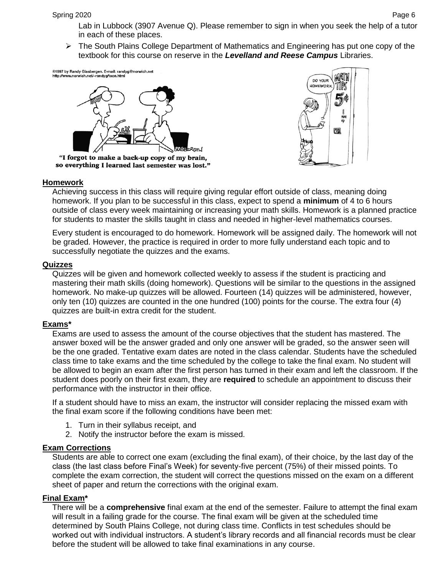Lab in Lubbock (3907 Avenue Q). Please remember to sign in when you seek the help of a tutor in each of these places.

➢ The South Plains College Department of Mathematics and Engineering has put one copy of the textbook for this course on reserve in the *Levelland and Reese Campus* Libraries.

©1997 by Randy Glasbergen. E-mail: randyg@norwich.net<br>http://www.norwich.net/⊶randyg/toon.html



so everything I learned last semester was lost."



### **Homework**

Achieving success in this class will require giving regular effort outside of class, meaning doing homework. If you plan to be successful in this class, expect to spend a **minimum** of 4 to 6 hours outside of class every week maintaining or increasing your math skills. Homework is a planned practice for students to master the skills taught in class and needed in higher-level mathematics courses.

Every student is encouraged to do homework. Homework will be assigned daily. The homework will not be graded. However, the practice is required in order to more fully understand each topic and to successfully negotiate the quizzes and the exams.

#### **Quizzes**

Quizzes will be given and homework collected weekly to assess if the student is practicing and mastering their math skills (doing homework). Questions will be similar to the questions in the assigned homework. No make-up quizzes will be allowed. Fourteen (14) quizzes will be administered, however, only ten (10) quizzes are counted in the one hundred (100) points for the course. The extra four (4) quizzes are built-in extra credit for the student.

### **Exams\***

Exams are used to assess the amount of the course objectives that the student has mastered. The answer boxed will be the answer graded and only one answer will be graded, so the answer seen will be the one graded. Tentative exam dates are noted in the class calendar. Students have the scheduled class time to take exams and the time scheduled by the college to take the final exam. No student will be allowed to begin an exam after the first person has turned in their exam and left the classroom. If the student does poorly on their first exam, they are **required** to schedule an appointment to discuss their performance with the instructor in their office.

If a student should have to miss an exam, the instructor will consider replacing the missed exam with the final exam score if the following conditions have been met:

- 1. Turn in their syllabus receipt, and
- 2. Notify the instructor before the exam is missed.

### **Exam Corrections**

Students are able to correct one exam (excluding the final exam), of their choice, by the last day of the class (the last class before Final's Week) for seventy-five percent (75%) of their missed points. To complete the exam correction, the student will correct the questions missed on the exam on a different sheet of paper and return the corrections with the original exam.

### **Final Exam\***

There will be a **comprehensive** final exam at the end of the semester. Failure to attempt the final exam will result in a failing grade for the course. The final exam will be given at the scheduled time determined by South Plains College, not during class time. Conflicts in test schedules should be worked out with individual instructors. A student's library records and all financial records must be clear before the student will be allowed to take final examinations in any course.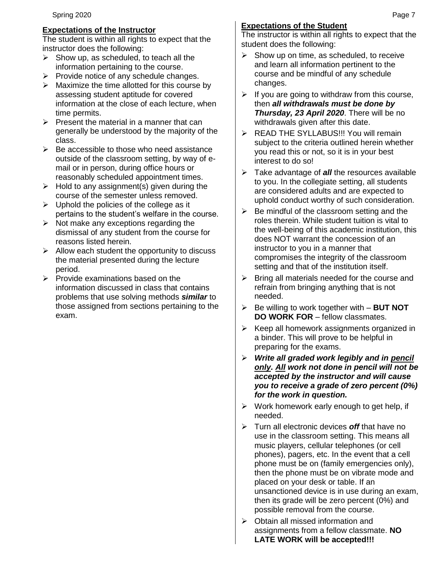## **Expectations of the Instructor**

The student is within all rights to expect that the instructor does the following:

- $\triangleright$  Show up, as scheduled, to teach all the information pertaining to the course.
- ➢ Provide notice of any schedule changes.
- $\triangleright$  Maximize the time allotted for this course by assessing student aptitude for covered information at the close of each lecture, when time permits.
- $\triangleright$  Present the material in a manner that can generally be understood by the majority of the class.
- $\triangleright$  Be accessible to those who need assistance outside of the classroom setting, by way of email or in person, during office hours or reasonably scheduled appointment times.
- $\triangleright$  Hold to any assignment(s) given during the course of the semester unless removed.
- $\triangleright$  Uphold the policies of the college as it pertains to the student's welfare in the course.
- $\triangleright$  Not make any exceptions regarding the dismissal of any student from the course for reasons listed herein.
- $\triangleright$  Allow each student the opportunity to discuss the material presented during the lecture period.
- $\triangleright$  Provide examinations based on the information discussed in class that contains problems that use solving methods *similar* to those assigned from sections pertaining to the exam.

# **Expectations of the Student**

The instructor is within all rights to expect that the student does the following:

- $\triangleright$  Show up on time, as scheduled, to receive and learn all information pertinent to the course and be mindful of any schedule changes.
- $\triangleright$  If you are going to withdraw from this course, then *all withdrawals must be done by Thursday, 23 April 2020*. There will be no withdrawals given after this date.
- ➢ READ THE SYLLABUS!!! You will remain subject to the criteria outlined herein whether you read this or not, so it is in your best interest to do so!
- ➢ Take advantage of *all* the resources available to you. In the collegiate setting, all students are considered adults and are expected to uphold conduct worthy of such consideration.
- $\triangleright$  Be mindful of the classroom setting and the roles therein. While student tuition is vital to the well-being of this academic institution, this does NOT warrant the concession of an instructor to you in a manner that compromises the integrity of the classroom setting and that of the institution itself.
- $\triangleright$  Bring all materials needed for the course and refrain from bringing anything that is not needed.
- ➢ Be willing to work together with **BUT NOT DO WORK FOR** – fellow classmates.
- ➢ Keep all homework assignments organized in a binder. This will prove to be helpful in preparing for the exams.
- ➢ *Write all graded work legibly and in pencil only. All work not done in pencil will not be accepted by the instructor and will cause you to receive a grade of zero percent (0%) for the work in question.*
- $\triangleright$  Work homework early enough to get help, if needed.
- ➢ Turn all electronic devices *off* that have no use in the classroom setting. This means all music players, cellular telephones (or cell phones), pagers, etc. In the event that a cell phone must be on (family emergencies only), then the phone must be on vibrate mode and placed on your desk or table. If an unsanctioned device is in use during an exam, then its grade will be zero percent (0%) and possible removal from the course.
- ➢ Obtain all missed information and assignments from a fellow classmate. **NO LATE WORK will be accepted!!!**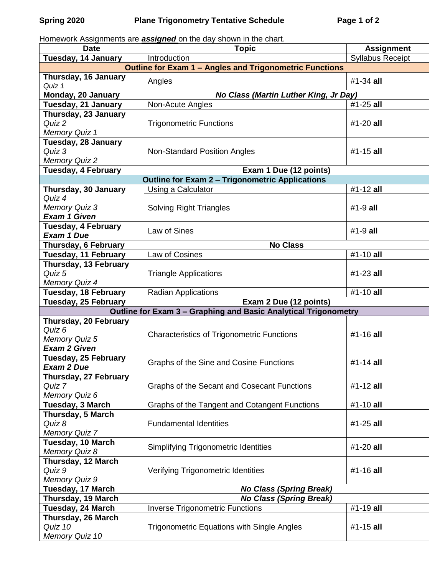Homework Assignments are *assigned* on the day shown in the chart.

| <b>Date</b>                                                    | <b>Topic</b>                                                                              | <b>Assignment</b>       |  |  |  |  |  |
|----------------------------------------------------------------|-------------------------------------------------------------------------------------------|-------------------------|--|--|--|--|--|
| Tuesday, 14 January                                            | Introduction                                                                              | <b>Syllabus Receipt</b> |  |  |  |  |  |
| <b>Outline for Exam 1 - Angles and Trigonometric Functions</b> |                                                                                           |                         |  |  |  |  |  |
| Thursday, 16 January<br>Quiz 1                                 | Angles                                                                                    | $#1-34$ all             |  |  |  |  |  |
| Monday, 20 January                                             | No Class (Martin Luther King, Jr Day)                                                     |                         |  |  |  |  |  |
| Tuesday, 21 January                                            | Non-Acute Angles                                                                          | #1-25 all               |  |  |  |  |  |
| Thursday, 23 January                                           |                                                                                           |                         |  |  |  |  |  |
| Quiz 2                                                         | <b>Trigonometric Functions</b>                                                            | #1-20 all               |  |  |  |  |  |
| <b>Memory Quiz 1</b>                                           |                                                                                           |                         |  |  |  |  |  |
| Tuesday, 28 January                                            |                                                                                           |                         |  |  |  |  |  |
| Quiz 3                                                         | <b>Non-Standard Position Angles</b>                                                       | $#1 - 15$ all           |  |  |  |  |  |
| <b>Memory Quiz 2</b>                                           |                                                                                           |                         |  |  |  |  |  |
| Tuesday, 4 February                                            | Exam 1 Due (12 points)                                                                    |                         |  |  |  |  |  |
|                                                                | <b>Outline for Exam 2 - Trigonometric Applications</b>                                    |                         |  |  |  |  |  |
| Thursday, 30 January                                           | Using a Calculator                                                                        | #1-12 all               |  |  |  |  |  |
| Quiz 4                                                         |                                                                                           |                         |  |  |  |  |  |
| <b>Memory Quiz 3</b>                                           | <b>Solving Right Triangles</b>                                                            | $#1-9$ all              |  |  |  |  |  |
| <b>Exam 1 Given</b>                                            |                                                                                           |                         |  |  |  |  |  |
| <b>Tuesday, 4 February</b>                                     | Law of Sines                                                                              | $#1-9$ all              |  |  |  |  |  |
| <b>Exam 1 Due</b>                                              |                                                                                           |                         |  |  |  |  |  |
| Thursday, 6 February                                           | <b>No Class</b>                                                                           |                         |  |  |  |  |  |
| Tuesday, 11 February                                           | Law of Cosines                                                                            | #1-10 all               |  |  |  |  |  |
| Thursday, 13 February                                          |                                                                                           |                         |  |  |  |  |  |
| Quiz 5                                                         | <b>Triangle Applications</b>                                                              | #1-23 all               |  |  |  |  |  |
| <b>Memory Quiz 4</b>                                           |                                                                                           |                         |  |  |  |  |  |
| <b>Tuesday, 18 February</b>                                    | <b>Radian Applications</b>                                                                | #1-10 all               |  |  |  |  |  |
| Tuesday, 25 February                                           | Exam 2 Due (12 points)<br>Outline for Exam 3 - Graphing and Basic Analytical Trigonometry |                         |  |  |  |  |  |
| Thursday, 20 February                                          |                                                                                           |                         |  |  |  |  |  |
| Quiz 6                                                         |                                                                                           |                         |  |  |  |  |  |
| <b>Memory Quiz 5</b>                                           | <b>Characteristics of Trigonometric Functions</b>                                         | #1-16 all               |  |  |  |  |  |
| <b>Exam 2 Given</b>                                            |                                                                                           |                         |  |  |  |  |  |
| Tuesday, 25 February                                           |                                                                                           |                         |  |  |  |  |  |
| <b>Exam 2 Due</b>                                              | Graphs of the Sine and Cosine Functions                                                   | $#1 - 14$ all           |  |  |  |  |  |
| Thursday, 27 February                                          |                                                                                           |                         |  |  |  |  |  |
| Quiz 7                                                         | Graphs of the Secant and Cosecant Functions                                               | #1-12 all               |  |  |  |  |  |
| Memory Quiz 6                                                  |                                                                                           |                         |  |  |  |  |  |
| Tuesday, 3 March                                               | Graphs of the Tangent and Cotangent Functions                                             | #1-10 all               |  |  |  |  |  |
| Thursday, 5 March                                              |                                                                                           |                         |  |  |  |  |  |
| Quiz 8                                                         | <b>Fundamental Identities</b>                                                             | $#1-25$ all             |  |  |  |  |  |
| <b>Memory Quiz 7</b>                                           |                                                                                           |                         |  |  |  |  |  |
| Tuesday, 10 March                                              | <b>Simplifying Trigonometric Identities</b>                                               | $#1-20$ all             |  |  |  |  |  |
| <b>Memory Quiz 8</b>                                           |                                                                                           |                         |  |  |  |  |  |
| Thursday, 12 March                                             |                                                                                           |                         |  |  |  |  |  |
| Quiz 9                                                         | Verifying Trigonometric Identities                                                        | #1-16 all               |  |  |  |  |  |
| <b>Memory Quiz 9</b>                                           |                                                                                           |                         |  |  |  |  |  |
| Tuesday, 17 March                                              | <b>No Class (Spring Break)</b>                                                            |                         |  |  |  |  |  |
| Thursday, 19 March                                             | <b>No Class (Spring Break)</b>                                                            |                         |  |  |  |  |  |
| Tuesday, 24 March                                              | <b>Inverse Trigonometric Functions</b>                                                    | #1-19 all               |  |  |  |  |  |
| Thursday, 26 March                                             |                                                                                           |                         |  |  |  |  |  |
| Quiz 10                                                        | <b>Trigonometric Equations with Single Angles</b>                                         | #1-15 all               |  |  |  |  |  |
| Memory Quiz 10                                                 |                                                                                           |                         |  |  |  |  |  |